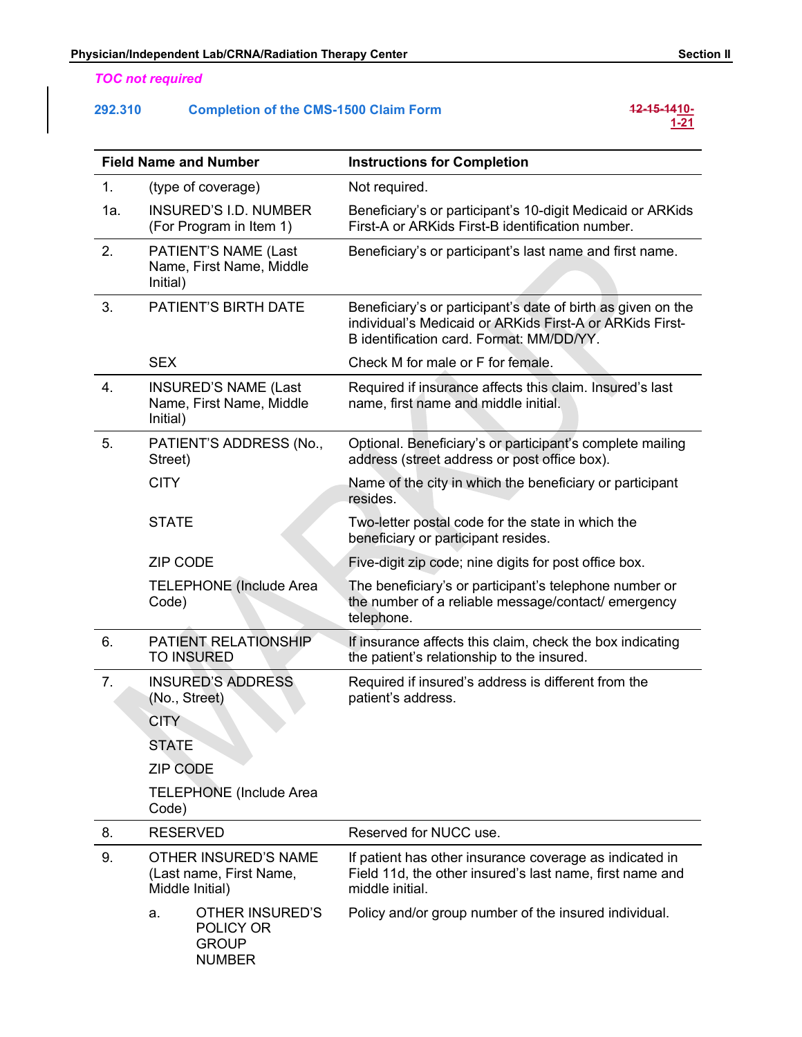# TOC not required

# Physician/Independent Lab/CRNA/Radiation Therapy Center Section II<br>
TOC not required<br>
292.310 Completion of the CMS-1500 Claim Form 12-15-141<u>0-121</u> 292.310 Completion of the CMS-1500 Claim Form

# $12-15-1410-$ <br> $1-21$

|         | <b>TOC not required</b>                                                    |                                                                                                                                                                      |
|---------|----------------------------------------------------------------------------|----------------------------------------------------------------------------------------------------------------------------------------------------------------------|
| 292.310 | <b>Completion of the CMS-1500 Claim Form</b>                               | 12-15-1410-<br>1-21                                                                                                                                                  |
|         | <b>Field Name and Number</b>                                               | <b>Instructions for Completion</b>                                                                                                                                   |
| 1.      | (type of coverage)                                                         | Not required.                                                                                                                                                        |
| 1a.     | <b>INSURED'S I.D. NUMBER</b><br>(For Program in Item 1)                    | Beneficiary's or participant's 10-digit Medicaid or ARKids<br>First-A or ARKids First-B identification number.                                                       |
| 2.      | PATIENT'S NAME (Last<br>Name, First Name, Middle<br>Initial)               | Beneficiary's or participant's last name and first name.                                                                                                             |
| 3.      | <b>PATIENT'S BIRTH DATE</b>                                                | Beneficiary's or participant's date of birth as given on the<br>individual's Medicaid or ARKids First-A or ARKids First-<br>B identification card. Format: MM/DD/YY. |
|         | <b>SEX</b>                                                                 | Check M for male or F for female.                                                                                                                                    |
| 4.      | <b>INSURED'S NAME (Last</b><br>Name, First Name, Middle<br>Initial)        | Required if insurance affects this claim. Insured's last<br>name, first name and middle initial.                                                                     |
| 5.      | PATIENT'S ADDRESS (No.,<br>Street)                                         | Optional. Beneficiary's or participant's complete mailing<br>address (street address or post office box).                                                            |
|         | <b>CITY</b>                                                                | Name of the city in which the beneficiary or participant<br>resides.                                                                                                 |
|         | <b>STATE</b>                                                               | Two-letter postal code for the state in which the<br>beneficiary or participant resides.                                                                             |
|         | <b>ZIP CODE</b>                                                            | Five-digit zip code; nine digits for post office box.                                                                                                                |
|         | <b>TELEPHONE</b> (Include Area<br>Code)                                    | The beneficiary's or participant's telephone number or<br>the number of a reliable message/contact/ emergency<br>telephone.                                          |
| 6.      | PATIENT RELATIONSHIP<br><b>TO INSURED</b>                                  | If insurance affects this claim, check the box indicating<br>the patient's relationship to the insured.                                                              |
| 7.      | <b>INSURED'S ADDRESS</b><br>(No., Street)                                  | Required if insured's address is different from the<br>patient's address.                                                                                            |
|         | <b>CITY</b>                                                                |                                                                                                                                                                      |
|         | <b>STATE</b>                                                               |                                                                                                                                                                      |
|         | <b>ZIP CODE</b>                                                            |                                                                                                                                                                      |
|         | <b>TELEPHONE</b> (Include Area<br>Code)                                    |                                                                                                                                                                      |
| 8.      | <b>RESERVED</b>                                                            | Reserved for NUCC use.                                                                                                                                               |
| 9.      | OTHER INSURED'S NAME<br>(Last name, First Name,<br>Middle Initial)         | If patient has other insurance coverage as indicated in<br>Field 11d, the other insured's last name, first name and<br>middle initial.                               |
|         | <b>OTHER INSURED'S</b><br>a.<br>POLICY OR<br><b>GROUP</b><br><b>NUMBER</b> | Policy and/or group number of the insured individual.                                                                                                                |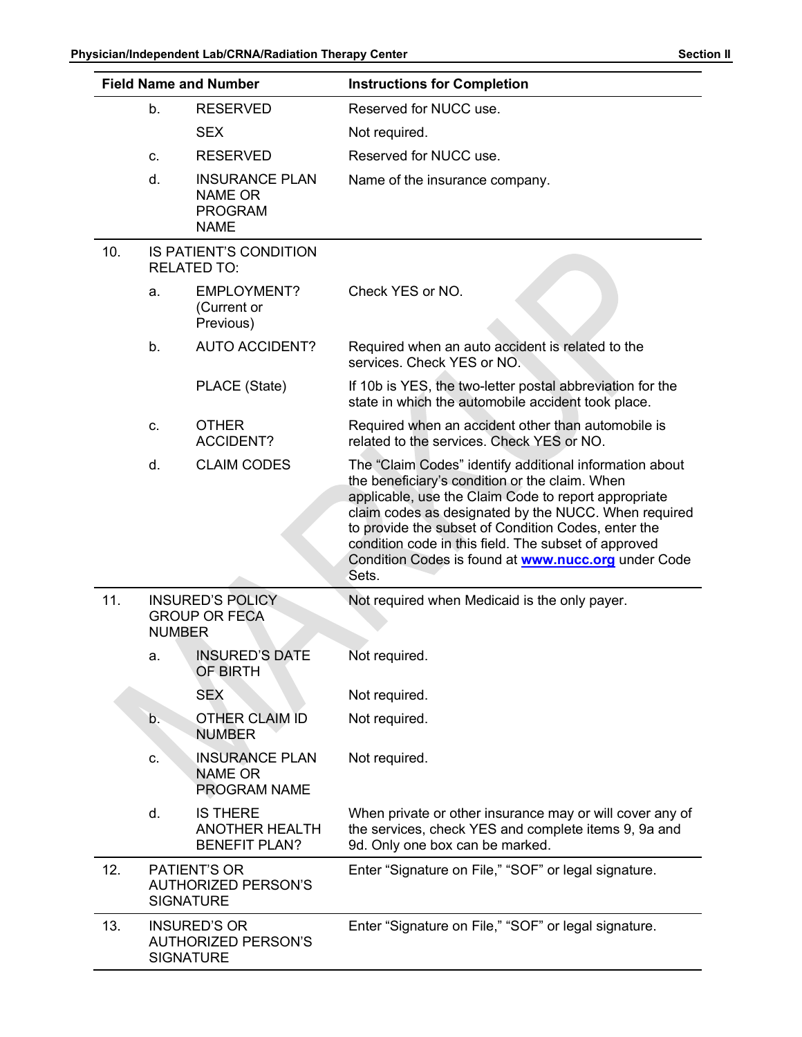|     | Physician/Independent Lab/CRNA/Radiation Therapy Center | <b>Field Name and Number</b>                                             | <b>Section II</b><br><b>Instructions for Completion</b>                                                                                                                                                                                                                                                                                                                                                         |
|-----|---------------------------------------------------------|--------------------------------------------------------------------------|-----------------------------------------------------------------------------------------------------------------------------------------------------------------------------------------------------------------------------------------------------------------------------------------------------------------------------------------------------------------------------------------------------------------|
|     |                                                         |                                                                          |                                                                                                                                                                                                                                                                                                                                                                                                                 |
|     | b.                                                      | <b>RESERVED</b><br><b>SEX</b>                                            | Reserved for NUCC use.<br>Not required.                                                                                                                                                                                                                                                                                                                                                                         |
|     | C.                                                      | <b>RESERVED</b>                                                          | Reserved for NUCC use.                                                                                                                                                                                                                                                                                                                                                                                          |
|     | d.                                                      | <b>INSURANCE PLAN</b><br><b>NAME OR</b><br><b>PROGRAM</b><br><b>NAME</b> | Name of the insurance company.                                                                                                                                                                                                                                                                                                                                                                                  |
| 10. |                                                         | IS PATIENT'S CONDITION<br><b>RELATED TO:</b>                             |                                                                                                                                                                                                                                                                                                                                                                                                                 |
|     | а.                                                      | <b>EMPLOYMENT?</b><br>(Current or<br>Previous)                           | Check YES or NO.                                                                                                                                                                                                                                                                                                                                                                                                |
|     | b.                                                      | <b>AUTO ACCIDENT?</b>                                                    | Required when an auto accident is related to the<br>services. Check YES or NO.                                                                                                                                                                                                                                                                                                                                  |
|     |                                                         | PLACE (State)                                                            | If 10b is YES, the two-letter postal abbreviation for the<br>state in which the automobile accident took place.                                                                                                                                                                                                                                                                                                 |
|     | C.                                                      | <b>OTHER</b><br><b>ACCIDENT?</b>                                         | Required when an accident other than automobile is<br>related to the services. Check YES or NO.                                                                                                                                                                                                                                                                                                                 |
|     | d.                                                      | <b>CLAIM CODES</b>                                                       | The "Claim Codes" identify additional information about<br>the beneficiary's condition or the claim. When<br>applicable, use the Claim Code to report appropriate<br>claim codes as designated by the NUCC. When required<br>to provide the subset of Condition Codes, enter the<br>condition code in this field. The subset of approved<br>Condition Codes is found at <b>www.nucc.org</b> under Code<br>Sets. |
| 11. | <b>NUMBER</b>                                           | <b>INSURED'S POLICY</b><br><b>GROUP OR FECA</b>                          | Not required when Medicaid is the only payer.                                                                                                                                                                                                                                                                                                                                                                   |
|     | a.                                                      | <b>INSURED'S DATE</b><br>OF BIRTH                                        | Not required.                                                                                                                                                                                                                                                                                                                                                                                                   |
|     |                                                         | <b>SEX</b>                                                               | Not required.                                                                                                                                                                                                                                                                                                                                                                                                   |
|     | b.                                                      | OTHER CLAIM ID<br><b>NUMBER</b>                                          | Not required.                                                                                                                                                                                                                                                                                                                                                                                                   |
|     | C.                                                      | <b>INSURANCE PLAN</b><br><b>NAME OR</b><br>PROGRAM NAME                  | Not required.                                                                                                                                                                                                                                                                                                                                                                                                   |
|     | d.                                                      | <b>IS THERE</b><br><b>ANOTHER HEALTH</b><br><b>BENEFIT PLAN?</b>         | When private or other insurance may or will cover any of<br>the services, check YES and complete items 9, 9a and<br>9d. Only one box can be marked.                                                                                                                                                                                                                                                             |
| 12. |                                                         | PATIENT'S OR<br><b>AUTHORIZED PERSON'S</b><br><b>SIGNATURE</b>           | Enter "Signature on File," "SOF" or legal signature.                                                                                                                                                                                                                                                                                                                                                            |
| 13. |                                                         | <b>INSURED'S OR</b><br><b>AUTHORIZED PERSON'S</b><br><b>SIGNATURE</b>    | Enter "Signature on File," "SOF" or legal signature.                                                                                                                                                                                                                                                                                                                                                            |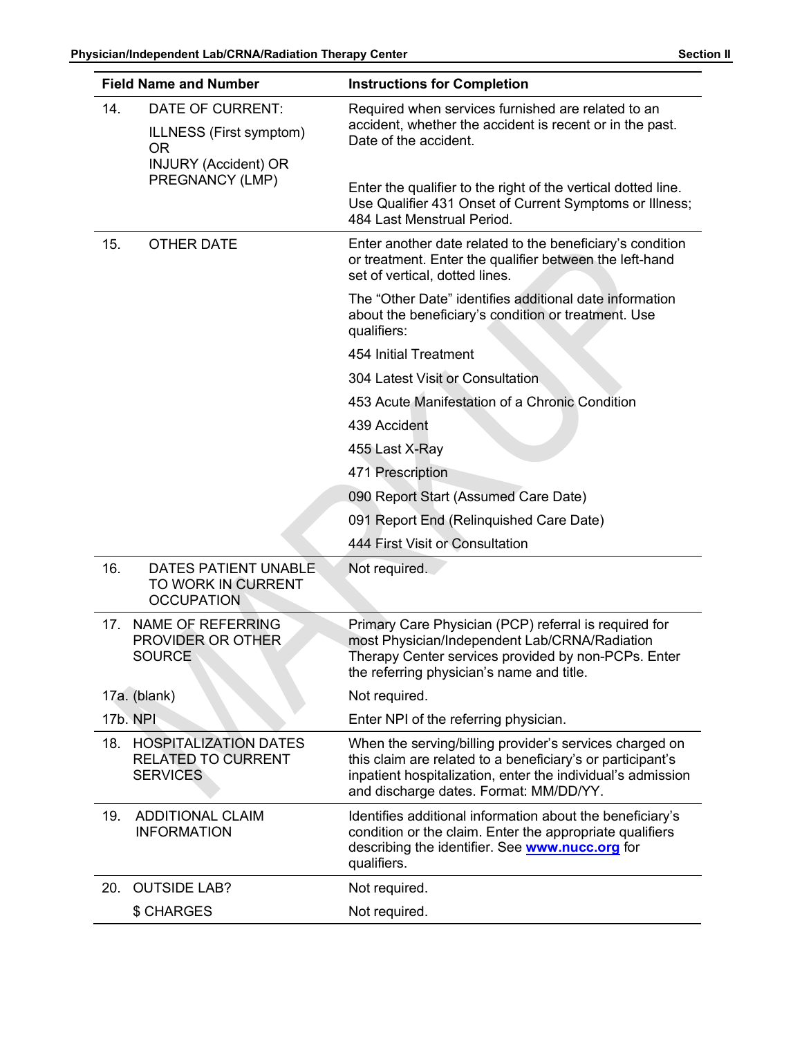|     | Physician/Independent Lab/CRNA/Radiation Therapy Center<br><b>Field Name and Number</b>                    | <b>Section II</b><br><b>Instructions for Completion</b>                                                                                                                                                                        |
|-----|------------------------------------------------------------------------------------------------------------|--------------------------------------------------------------------------------------------------------------------------------------------------------------------------------------------------------------------------------|
| 14. | DATE OF CURRENT:<br>ILLNESS (First symptom)<br><b>OR</b><br><b>INJURY (Accident) OR</b><br>PREGNANCY (LMP) | Required when services furnished are related to an<br>accident, whether the accident is recent or in the past.<br>Date of the accident.                                                                                        |
|     |                                                                                                            | Enter the qualifier to the right of the vertical dotted line.<br>Use Qualifier 431 Onset of Current Symptoms or Illness;<br>484 Last Menstrual Period.                                                                         |
| 15. | <b>OTHER DATE</b>                                                                                          | Enter another date related to the beneficiary's condition<br>or treatment. Enter the qualifier between the left-hand<br>set of vertical, dotted lines.                                                                         |
|     |                                                                                                            | The "Other Date" identifies additional date information<br>about the beneficiary's condition or treatment. Use<br>qualifiers:                                                                                                  |
|     |                                                                                                            | 454 Initial Treatment                                                                                                                                                                                                          |
|     |                                                                                                            | 304 Latest Visit or Consultation                                                                                                                                                                                               |
|     |                                                                                                            | 453 Acute Manifestation of a Chronic Condition                                                                                                                                                                                 |
|     |                                                                                                            | 439 Accident                                                                                                                                                                                                                   |
|     |                                                                                                            | 455 Last X-Ray                                                                                                                                                                                                                 |
|     |                                                                                                            | 471 Prescription                                                                                                                                                                                                               |
|     |                                                                                                            | 090 Report Start (Assumed Care Date)                                                                                                                                                                                           |
|     |                                                                                                            | 091 Report End (Relinquished Care Date)                                                                                                                                                                                        |
|     |                                                                                                            | 444 First Visit or Consultation                                                                                                                                                                                                |
| 16. | DATES PATIENT UNABLE<br>TO WORK IN CURRENT<br><b>OCCUPATION</b>                                            | Not required.                                                                                                                                                                                                                  |
|     | 17. NAME OF REFERRING<br>PROVIDER OR OTHER<br><b>SOURCE</b>                                                | Primary Care Physician (PCP) referral is required for<br>most Physician/Independent Lab/CRNA/Radiation<br>Therapy Center services provided by non-PCPs. Enter<br>the referring physician's name and title.                     |
|     | 17a. (blank)                                                                                               | Not required.                                                                                                                                                                                                                  |
|     | <b>17b. NPI</b>                                                                                            | Enter NPI of the referring physician.                                                                                                                                                                                          |
|     | 18. HOSPITALIZATION DATES<br><b>RELATED TO CURRENT</b><br><b>SERVICES</b>                                  | When the serving/billing provider's services charged on<br>this claim are related to a beneficiary's or participant's<br>inpatient hospitalization, enter the individual's admission<br>and discharge dates. Format: MM/DD/YY. |
| 19. | <b>ADDITIONAL CLAIM</b><br><b>INFORMATION</b>                                                              | Identifies additional information about the beneficiary's<br>condition or the claim. Enter the appropriate qualifiers<br>describing the identifier. See <b>www.nucc.org</b> for<br>qualifiers.                                 |
| 20. | <b>OUTSIDE LAB?</b>                                                                                        | Not required.                                                                                                                                                                                                                  |
|     | \$ CHARGES                                                                                                 | Not required.                                                                                                                                                                                                                  |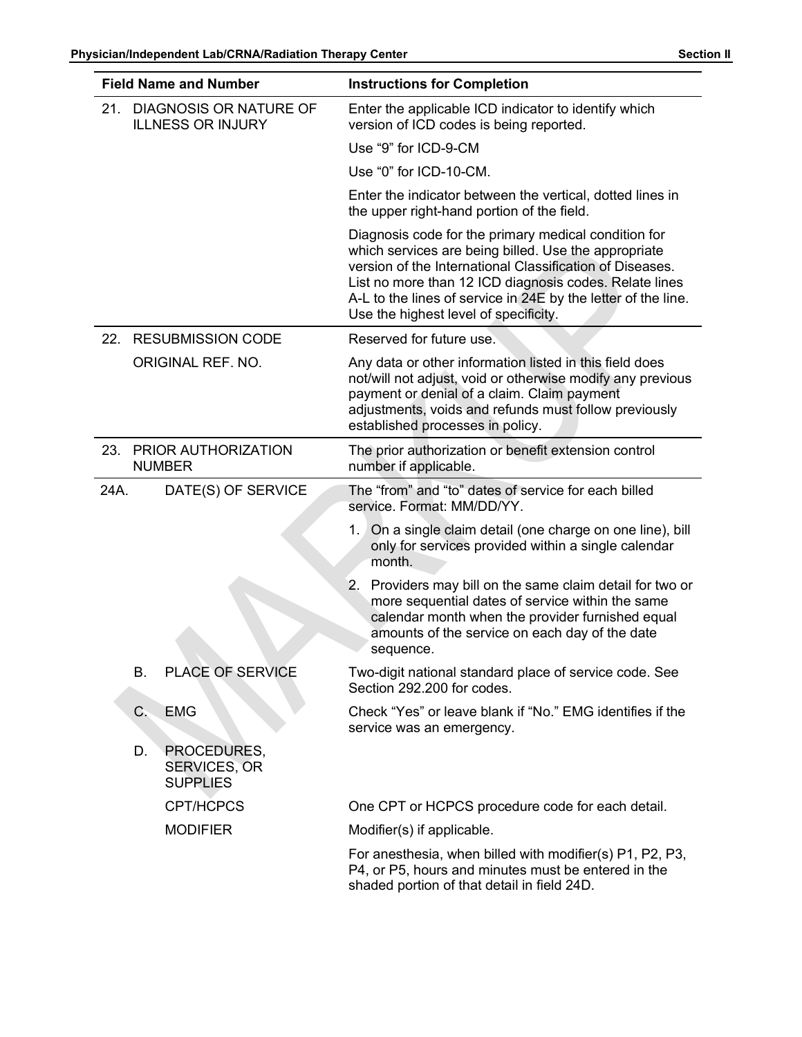|      | <b>Field Name and Number</b>                         | Physician/Independent Lab/CRNA/Radiation Therapy Center<br><b>Section II</b><br><b>Instructions for Completion</b>                                                                                                                                                                                                                           |  |
|------|------------------------------------------------------|----------------------------------------------------------------------------------------------------------------------------------------------------------------------------------------------------------------------------------------------------------------------------------------------------------------------------------------------|--|
| 21.  | DIAGNOSIS OR NATURE OF<br><b>ILLNESS OR INJURY</b>   | Enter the applicable ICD indicator to identify which<br>version of ICD codes is being reported.                                                                                                                                                                                                                                              |  |
|      |                                                      | Use "9" for ICD-9-CM                                                                                                                                                                                                                                                                                                                         |  |
|      |                                                      | Use "0" for ICD-10-CM.                                                                                                                                                                                                                                                                                                                       |  |
|      |                                                      | Enter the indicator between the vertical, dotted lines in<br>the upper right-hand portion of the field.                                                                                                                                                                                                                                      |  |
|      |                                                      | Diagnosis code for the primary medical condition for<br>which services are being billed. Use the appropriate<br>version of the International Classification of Diseases.<br>List no more than 12 ICD diagnosis codes. Relate lines<br>A-L to the lines of service in 24E by the letter of the line.<br>Use the highest level of specificity. |  |
|      | 22. RESUBMISSION CODE                                | Reserved for future use.                                                                                                                                                                                                                                                                                                                     |  |
|      | ORIGINAL REF. NO.                                    | Any data or other information listed in this field does<br>not/will not adjust, void or otherwise modify any previous<br>payment or denial of a claim. Claim payment<br>adjustments, voids and refunds must follow previously<br>established processes in policy.                                                                            |  |
|      | 23. PRIOR AUTHORIZATION<br><b>NUMBER</b>             | The prior authorization or benefit extension control<br>number if applicable.                                                                                                                                                                                                                                                                |  |
| 24A. | DATE(S) OF SERVICE                                   | The "from" and "to" dates of service for each billed<br>service. Format: MM/DD/YY.                                                                                                                                                                                                                                                           |  |
|      |                                                      | 1. On a single claim detail (one charge on one line), bill<br>only for services provided within a single calendar<br>month.                                                                                                                                                                                                                  |  |
|      |                                                      | 2. Providers may bill on the same claim detail for two or<br>more sequential dates of service within the same<br>calendar month when the provider furnished equal<br>amounts of the service on each day of the date<br>sequence.                                                                                                             |  |
|      | B.<br>PLACE OF SERVICE                               | Two-digit national standard place of service code. See<br>Section 292.200 for codes.                                                                                                                                                                                                                                                         |  |
|      | C <sub>1</sub><br><b>EMG</b>                         | Check "Yes" or leave blank if "No." EMG identifies if the<br>service was an emergency.                                                                                                                                                                                                                                                       |  |
|      | PROCEDURES,<br>D.<br>SERVICES, OR<br><b>SUPPLIES</b> |                                                                                                                                                                                                                                                                                                                                              |  |
|      | <b>CPT/HCPCS</b>                                     | One CPT or HCPCS procedure code for each detail.                                                                                                                                                                                                                                                                                             |  |
|      | <b>MODIFIER</b>                                      | Modifier(s) if applicable.<br>For anesthesia, when billed with modifier(s) P1, P2, P3,<br>P4, or P5, hours and minutes must be entered in the<br>shaded portion of that detail in field 24D.                                                                                                                                                 |  |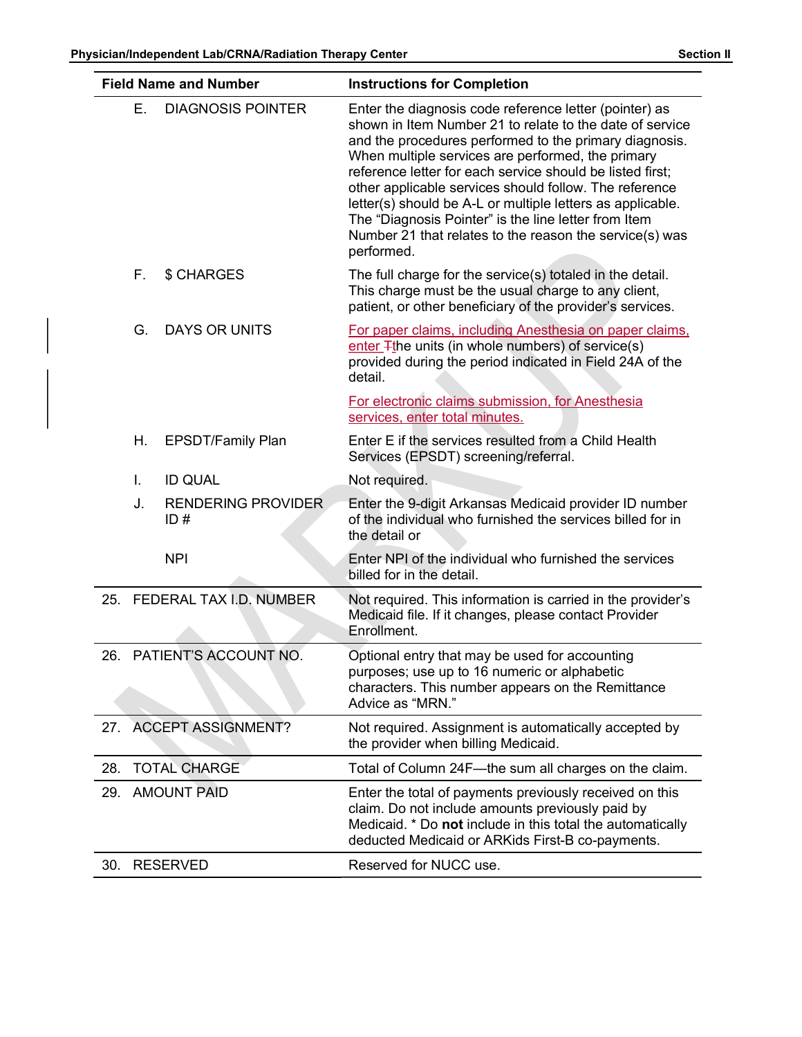|     |    | Physician/Independent Lab/CRNA/Radiation Therapy Center | <b>Section II</b>                                                                                                                                                                                                                                                                                                                                                                                                                                                                                                                                       |  |  |
|-----|----|---------------------------------------------------------|---------------------------------------------------------------------------------------------------------------------------------------------------------------------------------------------------------------------------------------------------------------------------------------------------------------------------------------------------------------------------------------------------------------------------------------------------------------------------------------------------------------------------------------------------------|--|--|
|     |    | <b>Field Name and Number</b>                            | <b>Instructions for Completion</b>                                                                                                                                                                                                                                                                                                                                                                                                                                                                                                                      |  |  |
|     | Ε. | <b>DIAGNOSIS POINTER</b>                                | Enter the diagnosis code reference letter (pointer) as<br>shown in Item Number 21 to relate to the date of service<br>and the procedures performed to the primary diagnosis.<br>When multiple services are performed, the primary<br>reference letter for each service should be listed first;<br>other applicable services should follow. The reference<br>letter(s) should be A-L or multiple letters as applicable.<br>The "Diagnosis Pointer" is the line letter from Item<br>Number 21 that relates to the reason the service(s) was<br>performed. |  |  |
|     | F. | \$ CHARGES                                              | The full charge for the service(s) totaled in the detail.<br>This charge must be the usual charge to any client,<br>patient, or other beneficiary of the provider's services.                                                                                                                                                                                                                                                                                                                                                                           |  |  |
|     | G. | <b>DAYS OR UNITS</b>                                    | For paper claims, including Anesthesia on paper claims,<br>enter <sub>T</sub> the units (in whole numbers) of service(s)<br>provided during the period indicated in Field 24A of the<br>detail.<br>For electronic claims submission, for Anesthesia                                                                                                                                                                                                                                                                                                     |  |  |
|     | Η. | <b>EPSDT/Family Plan</b>                                | services, enter total minutes.<br>Enter E if the services resulted from a Child Health<br>Services (EPSDT) screening/referral.                                                                                                                                                                                                                                                                                                                                                                                                                          |  |  |
|     | Ι. | <b>ID QUAL</b>                                          | Not required.                                                                                                                                                                                                                                                                                                                                                                                                                                                                                                                                           |  |  |
|     | J. | <b>RENDERING PROVIDER</b><br>ID#                        | Enter the 9-digit Arkansas Medicaid provider ID number<br>of the individual who furnished the services billed for in<br>the detail or                                                                                                                                                                                                                                                                                                                                                                                                                   |  |  |
|     |    | <b>NPI</b>                                              | Enter NPI of the individual who furnished the services<br>billed for in the detail.                                                                                                                                                                                                                                                                                                                                                                                                                                                                     |  |  |
|     |    | 25. FEDERAL TAX I.D. NUMBER                             | Not required. This information is carried in the provider's<br>Medicaid file. If it changes, please contact Provider<br>Enrollment.                                                                                                                                                                                                                                                                                                                                                                                                                     |  |  |
|     |    | 26. PATIENT'S ACCOUNT NO.                               | Optional entry that may be used for accounting<br>purposes; use up to 16 numeric or alphabetic<br>characters. This number appears on the Remittance<br>Advice as "MRN."                                                                                                                                                                                                                                                                                                                                                                                 |  |  |
| 27. |    | <b>ACCEPT ASSIGNMENT?</b>                               | Not required. Assignment is automatically accepted by<br>the provider when billing Medicaid.                                                                                                                                                                                                                                                                                                                                                                                                                                                            |  |  |
| 28. |    | <b>TOTAL CHARGE</b>                                     | Total of Column 24F-the sum all charges on the claim.                                                                                                                                                                                                                                                                                                                                                                                                                                                                                                   |  |  |
|     |    | 29. AMOUNT PAID                                         | Enter the total of payments previously received on this<br>claim. Do not include amounts previously paid by<br>Medicaid. * Do not include in this total the automatically<br>deducted Medicaid or ARKids First-B co-payments.                                                                                                                                                                                                                                                                                                                           |  |  |
|     |    | 30. RESERVED                                            | Reserved for NUCC use.                                                                                                                                                                                                                                                                                                                                                                                                                                                                                                                                  |  |  |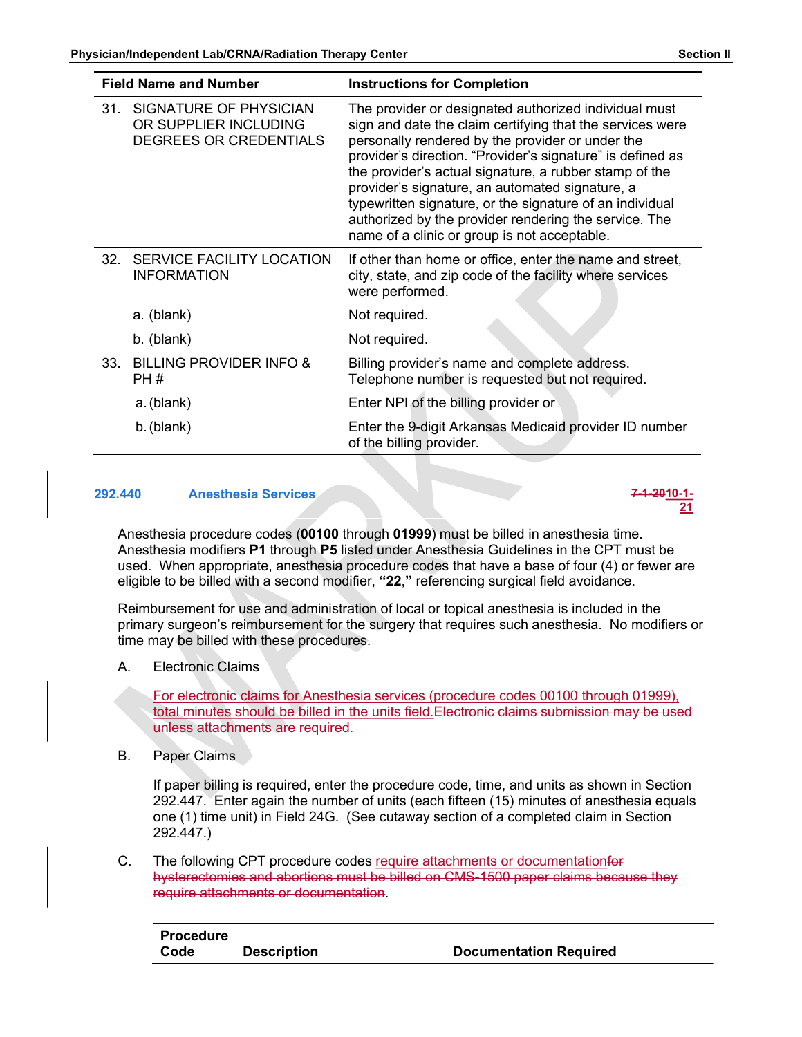

Reimbursement for use and administration of local or topical anesthesia is included in the primary surgeon's reimbursement for the surgery that requires such anesthesia. No modifiers or time may be billed with these procedures.

A. Electronic Claims

For electronic claims for Anesthesia services (procedure codes 00100 through 01999), total minutes should be billed in the units field.Electronic claims submission may be used unless attachments are required.

B. Paper Claims

If paper billing is required, enter the procedure code, time, and units as shown in Section 292.447. Enter again the number of units (each fifteen (15) minutes of anesthesia equals one (1) time unit) in Field 24G. (See cutaway section of a completed claim in Section 292.447.)

C. The following CPT procedure codes require attachments or documentationfor hysterectomies and abortions must be billed on CMS-1500 paper claims because they require attachments or documentation.

| Procedure |                    |                               |
|-----------|--------------------|-------------------------------|
| Code      | <b>Description</b> | <b>Documentation Required</b> |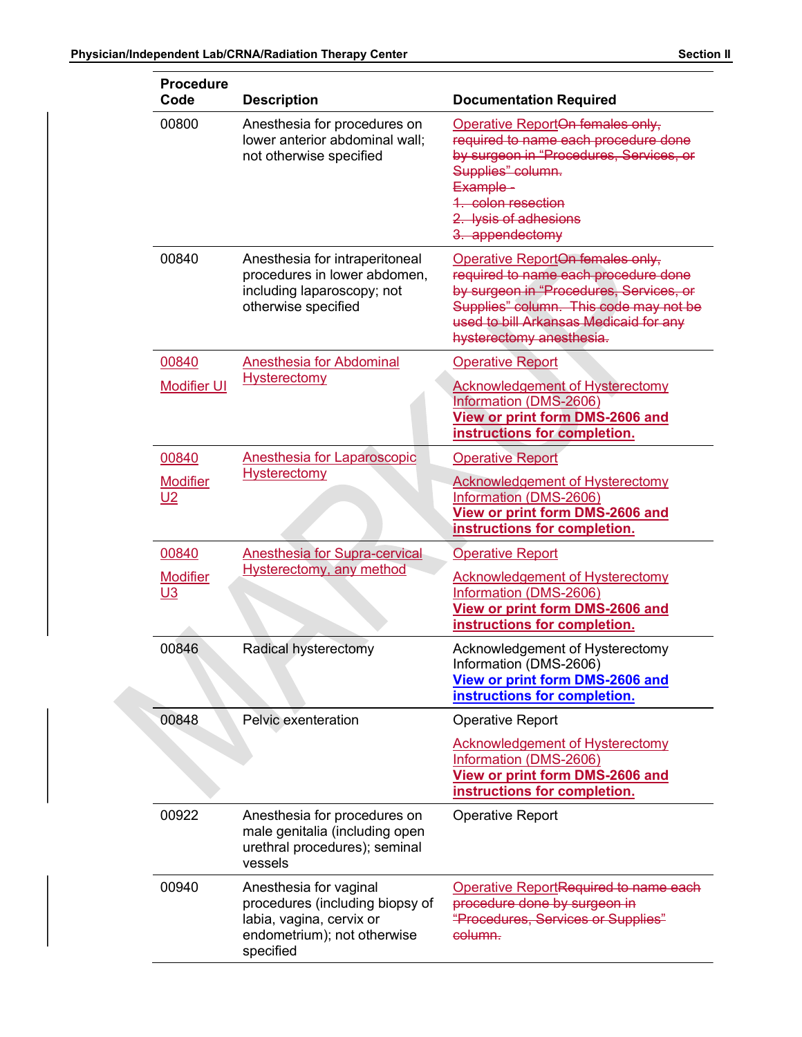| <b>Procedure</b>                      |                                                                                                                                   | <b>Section II</b>                                                                                                                                                                                                                   |  |
|---------------------------------------|-----------------------------------------------------------------------------------------------------------------------------------|-------------------------------------------------------------------------------------------------------------------------------------------------------------------------------------------------------------------------------------|--|
| Code                                  | <b>Description</b>                                                                                                                | <b>Documentation Required</b>                                                                                                                                                                                                       |  |
| 00800                                 | Anesthesia for procedures on<br>lower anterior abdominal wall;<br>not otherwise specified                                         | Operative ReportOn females only,<br>required to name each procedure done<br>by surgeon in "Procedures, Services, or<br>Supplies" column.<br>Example-<br>1. colon resection<br>2. lysis of adhesions<br>3. appendectomy              |  |
| 00840                                 | Anesthesia for intraperitoneal<br>procedures in lower abdomen,<br>including laparoscopy; not<br>otherwise specified               | Operative ReportOn females only,<br>required to name each procedure done<br>by surgeon in "Procedures, Services, or<br>Supplies" column. This code may not be<br>used to bill Arkansas Medicaid for any<br>hysterectomy anesthesia. |  |
| 00840<br><b>Modifier UI</b>           | <b>Anesthesia for Abdominal</b><br><b>Hysterectomy</b>                                                                            | <b>Operative Report</b><br><b>Acknowledgement of Hysterectomy</b><br>Information (DMS-2606)<br><b>View or print form DMS-2606 and</b><br>instructions for completion.                                                               |  |
| 00840<br><b>Modifier</b><br>$U2$      | <b>Anesthesia for Laparoscopic</b><br><b>Hysterectomy</b>                                                                         | <b>Operative Report</b><br><b>Acknowledgement of Hysterectomy</b><br>Information (DMS-2606)<br>View or print form DMS-2606 and<br>instructions for completion.                                                                      |  |
| 00840<br><b>Modifier</b><br><u>U3</u> | <b>Anesthesia for Supra-cervical</b><br><b>Hysterectomy, any method</b>                                                           | <b>Operative Report</b><br><b>Acknowledgement of Hysterectomy</b><br>Information (DMS-2606)<br>View or print form DMS-2606 and<br>instructions for completion.                                                                      |  |
| 00846                                 | Radical hysterectomy                                                                                                              | Acknowledgement of Hysterectomy<br>Information (DMS-2606)<br><b>View or print form DMS-2606 and</b><br>instructions for completion.                                                                                                 |  |
| 00848                                 | Pelvic exenteration                                                                                                               | <b>Operative Report</b>                                                                                                                                                                                                             |  |
|                                       |                                                                                                                                   | <b>Acknowledgement of Hysterectomy</b><br>Information (DMS-2606)<br>View or print form DMS-2606 and<br>instructions for completion.                                                                                                 |  |
| 00922                                 | Anesthesia for procedures on<br>male genitalia (including open<br>urethral procedures); seminal<br>vessels                        | <b>Operative Report</b>                                                                                                                                                                                                             |  |
| 00940                                 | Anesthesia for vaginal<br>procedures (including biopsy of<br>labia, vagina, cervix or<br>endometrium); not otherwise<br>specified | Operative ReportRequired to name each<br>procedure done by surgeon in<br>"Procedures, Services or Supplies"<br>column.                                                                                                              |  |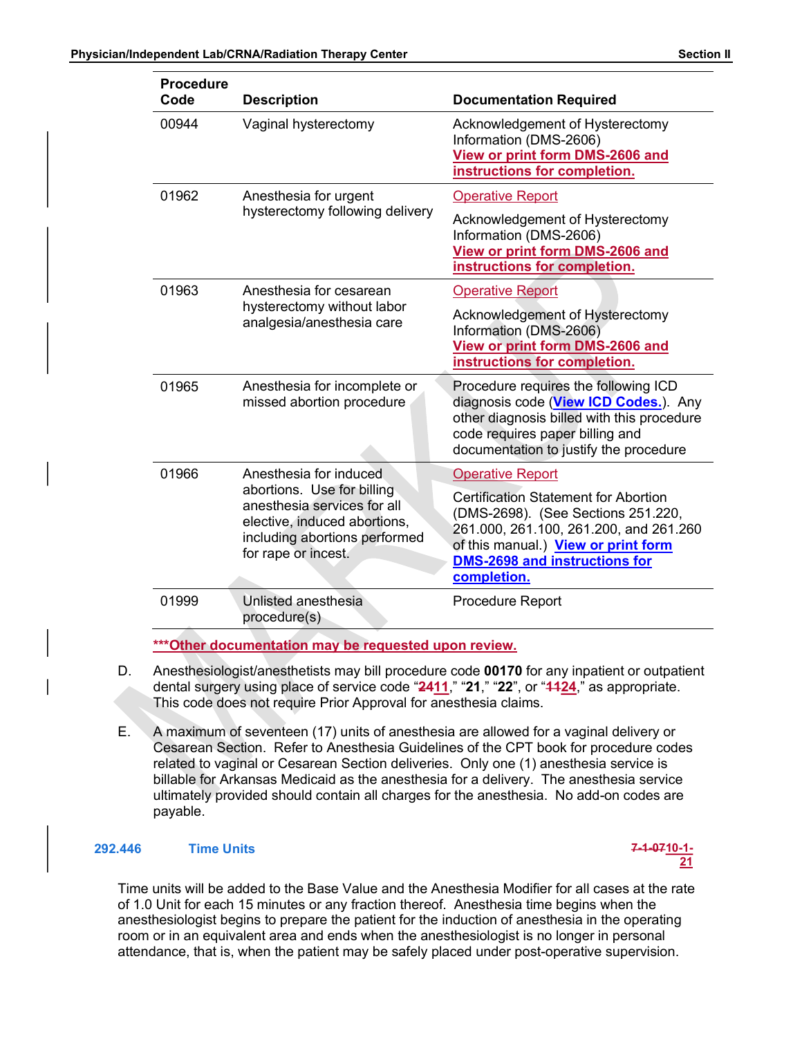| Section |
|---------|
|         |

|  | <b>Procedure</b> | Physician/Independent Lab/CRNA/Radiation Therapy Center                                                                                           | <b>Section II</b>                                                                                                                                                                                                         |  |
|--|------------------|---------------------------------------------------------------------------------------------------------------------------------------------------|---------------------------------------------------------------------------------------------------------------------------------------------------------------------------------------------------------------------------|--|
|  | Code             | <b>Description</b>                                                                                                                                | <b>Documentation Required</b>                                                                                                                                                                                             |  |
|  | 00944            | Vaginal hysterectomy                                                                                                                              | Acknowledgement of Hysterectomy<br>Information (DMS-2606)<br>View or print form DMS-2606 and<br>instructions for completion.                                                                                              |  |
|  | 01962            | Anesthesia for urgent                                                                                                                             | <b>Operative Report</b>                                                                                                                                                                                                   |  |
|  |                  | hysterectomy following delivery                                                                                                                   | Acknowledgement of Hysterectomy<br>Information (DMS-2606)<br>View or print form DMS-2606 and<br>instructions for completion.                                                                                              |  |
|  | 01963            | Anesthesia for cesarean                                                                                                                           | <b>Operative Report</b>                                                                                                                                                                                                   |  |
|  |                  | hysterectomy without labor<br>analgesia/anesthesia care                                                                                           | Acknowledgement of Hysterectomy<br>Information (DMS-2606)<br>View or print form DMS-2606 and<br>instructions for completion.                                                                                              |  |
|  | 01965            | Anesthesia for incomplete or<br>missed abortion procedure                                                                                         | Procedure requires the following ICD<br>diagnosis code (View ICD Codes.). Any<br>other diagnosis billed with this procedure<br>code requires paper billing and<br>documentation to justify the procedure                  |  |
|  | 01966            | Anesthesia for induced                                                                                                                            | <b>Operative Report</b>                                                                                                                                                                                                   |  |
|  |                  | abortions. Use for billing<br>anesthesia services for all<br>elective, induced abortions,<br>including abortions performed<br>for rape or incest. | <b>Certification Statement for Abortion</b><br>(DMS-2698). (See Sections 251.220,<br>261.000, 261.100, 261.200, and 261.260<br>of this manual.) View or print form<br><b>DMS-2698 and instructions for</b><br>completion. |  |
|  | 01999            | <b>Unlisted anesthesia</b><br>procedure(s)                                                                                                        | Procedure Report                                                                                                                                                                                                          |  |

- D. Anesthesiologist/anesthetists may bill procedure code 00170 for any inpatient or outpatient dental surgery using place of service code "2411," "21," "22", or "4424," as appropriate. This code does not require Prior Approval for anesthesia claims.
- E. A maximum of seventeen (17) units of anesthesia are allowed for a vaginal delivery or Cesarean Section. Refer to Anesthesia Guidelines of the CPT book for procedure codes billable for Arkansas Medicaid as the anesthesia for a delivery. The anesthesia service ultimately provided should contain all charges for the anesthesia. No add-on codes are payable.

## 292.446 Time Units 7-1-0710-1-



Time units will be added to the Base Value and the Anesthesia Modifier for all cases at the rate of 1.0 Unit for each 15 minutes or any fraction thereof. Anesthesia time begins when the anesthesiologist begins to prepare the patient for the induction of anesthesia in the operating room or in an equivalent area and ends when the anesthesiologist is no longer in personal attendance, that is, when the patient may be safely placed under post-operative supervision.